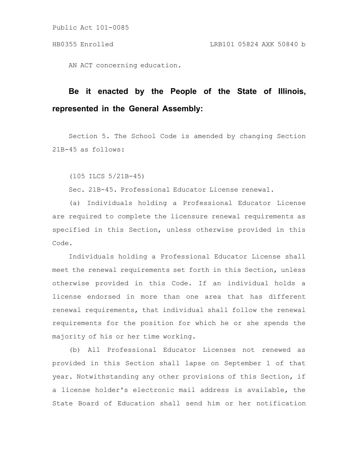AN ACT concerning education.

# **Be it enacted by the People of the State of Illinois, represented in the General Assembly:**

Section 5. The School Code is amended by changing Section 21B-45 as follows:

(105 ILCS 5/21B-45)

Sec. 21B-45. Professional Educator License renewal.

(a) Individuals holding a Professional Educator License are required to complete the licensure renewal requirements as specified in this Section, unless otherwise provided in this Code.

Individuals holding a Professional Educator License shall meet the renewal requirements set forth in this Section, unless otherwise provided in this Code. If an individual holds a license endorsed in more than one area that has different renewal requirements, that individual shall follow the renewal requirements for the position for which he or she spends the majority of his or her time working.

(b) All Professional Educator Licenses not renewed as provided in this Section shall lapse on September 1 of that year. Notwithstanding any other provisions of this Section, if a license holder's electronic mail address is available, the State Board of Education shall send him or her notification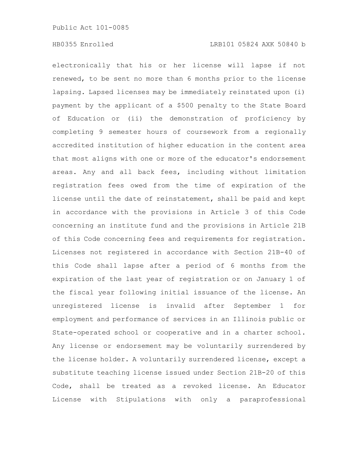electronically that his or her license will lapse if not renewed, to be sent no more than 6 months prior to the license lapsing. Lapsed licenses may be immediately reinstated upon (i) payment by the applicant of a \$500 penalty to the State Board of Education or (ii) the demonstration of proficiency by completing 9 semester hours of coursework from a regionally accredited institution of higher education in the content area that most aligns with one or more of the educator's endorsement areas. Any and all back fees, including without limitation registration fees owed from the time of expiration of the license until the date of reinstatement, shall be paid and kept in accordance with the provisions in Article 3 of this Code concerning an institute fund and the provisions in Article 21B of this Code concerning fees and requirements for registration. Licenses not registered in accordance with Section 21B-40 of this Code shall lapse after a period of 6 months from the expiration of the last year of registration or on January 1 of the fiscal year following initial issuance of the license. An unregistered license is invalid after September 1 for employment and performance of services in an Illinois public or State-operated school or cooperative and in a charter school. Any license or endorsement may be voluntarily surrendered by the license holder. A voluntarily surrendered license, except a substitute teaching license issued under Section 21B-20 of this Code, shall be treated as a revoked license. An Educator License with Stipulations with only a paraprofessional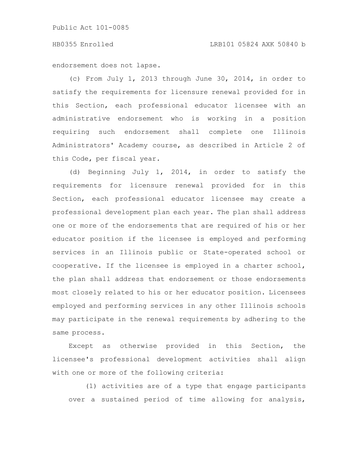endorsement does not lapse.

(c) From July 1, 2013 through June 30, 2014, in order to satisfy the requirements for licensure renewal provided for in this Section, each professional educator licensee with an administrative endorsement who is working in a position requiring such endorsement shall complete one Illinois Administrators' Academy course, as described in Article 2 of this Code, per fiscal year.

(d) Beginning July 1, 2014, in order to satisfy the requirements for licensure renewal provided for in this Section, each professional educator licensee may create a professional development plan each year. The plan shall address one or more of the endorsements that are required of his or her educator position if the licensee is employed and performing services in an Illinois public or State-operated school or cooperative. If the licensee is employed in a charter school, the plan shall address that endorsement or those endorsements most closely related to his or her educator position. Licensees employed and performing services in any other Illinois schools may participate in the renewal requirements by adhering to the same process.

Except as otherwise provided in this Section, the licensee's professional development activities shall align with one or more of the following criteria:

(1) activities are of a type that engage participants over a sustained period of time allowing for analysis,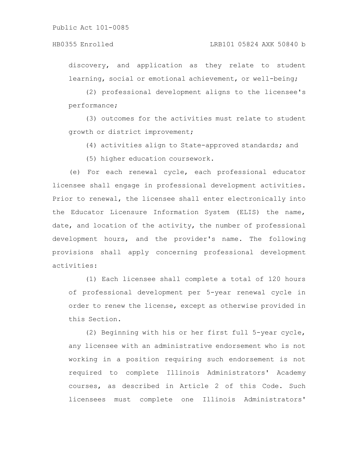discovery, and application as they relate to student learning, social or emotional achievement, or well-being;

(2) professional development aligns to the licensee's performance;

(3) outcomes for the activities must relate to student growth or district improvement;

(4) activities align to State-approved standards; and

(5) higher education coursework.

(e) For each renewal cycle, each professional educator licensee shall engage in professional development activities. Prior to renewal, the licensee shall enter electronically into the Educator Licensure Information System (ELIS) the name, date, and location of the activity, the number of professional development hours, and the provider's name. The following provisions shall apply concerning professional development activities:

(1) Each licensee shall complete a total of 120 hours of professional development per 5-year renewal cycle in order to renew the license, except as otherwise provided in this Section.

(2) Beginning with his or her first full 5-year cycle, any licensee with an administrative endorsement who is not working in a position requiring such endorsement is not required to complete Illinois Administrators' Academy courses, as described in Article 2 of this Code. Such licensees must complete one Illinois Administrators'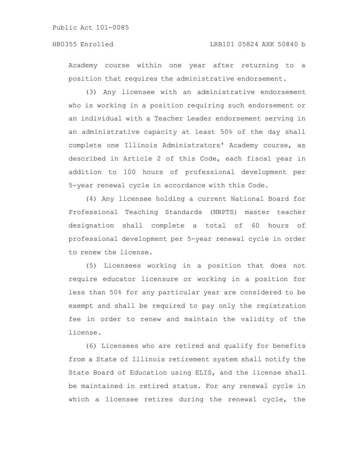Academy course within one year after returning to a position that requires the administrative endorsement.

(3) Any licensee with an administrative endorsement who is working in a position requiring such endorsement or an individual with a Teacher Leader endorsement serving in an administrative capacity at least 50% of the day shall complete one Illinois Administrators' Academy course, as described in Article 2 of this Code, each fiscal year in addition to 100 hours of professional development per 5-year renewal cycle in accordance with this Code.

(4) Any licensee holding a current National Board for Professional Teaching Standards (NBPTS) master teacher designation shall complete a total of 60 hours of professional development per 5-year renewal cycle in order to renew the license.

(5) Licensees working in a position that does not require educator licensure or working in a position for less than 50% for any particular year are considered to be exempt and shall be required to pay only the registration fee in order to renew and maintain the validity of the license.

(6) Licensees who are retired and qualify for benefits from a State of Illinois retirement system shall notify the State Board of Education using ELIS, and the license shall be maintained in retired status. For any renewal cycle in which a licensee retires during the renewal cycle, the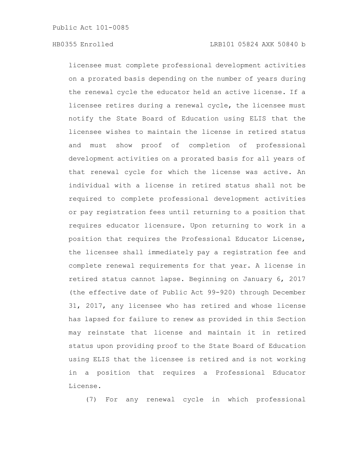licensee must complete professional development activities on a prorated basis depending on the number of years during the renewal cycle the educator held an active license. If a licensee retires during a renewal cycle, the licensee must notify the State Board of Education using ELIS that the licensee wishes to maintain the license in retired status and must show proof of completion of professional development activities on a prorated basis for all years of that renewal cycle for which the license was active. An individual with a license in retired status shall not be required to complete professional development activities or pay registration fees until returning to a position that requires educator licensure. Upon returning to work in a position that requires the Professional Educator License, the licensee shall immediately pay a registration fee and complete renewal requirements for that year. A license in retired status cannot lapse. Beginning on January 6, 2017 (the effective date of Public Act 99-920) through December 31, 2017, any licensee who has retired and whose license has lapsed for failure to renew as provided in this Section may reinstate that license and maintain it in retired status upon providing proof to the State Board of Education using ELIS that the licensee is retired and is not working in a position that requires a Professional Educator License.

(7) For any renewal cycle in which professional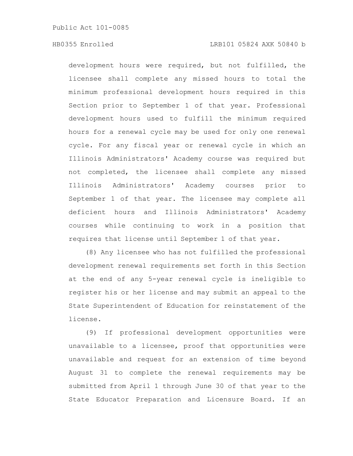development hours were required, but not fulfilled, the licensee shall complete any missed hours to total the minimum professional development hours required in this Section prior to September 1 of that year. Professional development hours used to fulfill the minimum required hours for a renewal cycle may be used for only one renewal cycle. For any fiscal year or renewal cycle in which an Illinois Administrators' Academy course was required but not completed, the licensee shall complete any missed Illinois Administrators' Academy courses prior to September 1 of that year. The licensee may complete all deficient hours and Illinois Administrators' Academy courses while continuing to work in a position that requires that license until September 1 of that year.

(8) Any licensee who has not fulfilled the professional development renewal requirements set forth in this Section at the end of any 5-year renewal cycle is ineligible to register his or her license and may submit an appeal to the State Superintendent of Education for reinstatement of the license.

(9) If professional development opportunities were unavailable to a licensee, proof that opportunities were unavailable and request for an extension of time beyond August 31 to complete the renewal requirements may be submitted from April 1 through June 30 of that year to the State Educator Preparation and Licensure Board. If an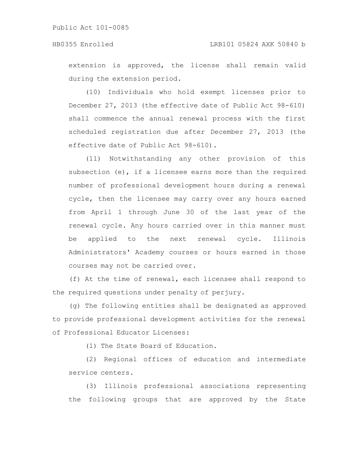extension is approved, the license shall remain valid during the extension period.

(10) Individuals who hold exempt licenses prior to December 27, 2013 (the effective date of Public Act 98-610) shall commence the annual renewal process with the first scheduled registration due after December 27, 2013 (the effective date of Public Act 98-610).

(11) Notwithstanding any other provision of this subsection  $(e)$ , if a licensee earns more than the required number of professional development hours during a renewal cycle, then the licensee may carry over any hours earned from April 1 through June 30 of the last year of the renewal cycle. Any hours carried over in this manner must be applied to the next renewal cycle. Illinois Administrators' Academy courses or hours earned in those courses may not be carried over.

(f) At the time of renewal, each licensee shall respond to the required questions under penalty of perjury.

(g) The following entities shall be designated as approved to provide professional development activities for the renewal of Professional Educator Licenses:

(1) The State Board of Education.

(2) Regional offices of education and intermediate service centers.

(3) Illinois professional associations representing the following groups that are approved by the State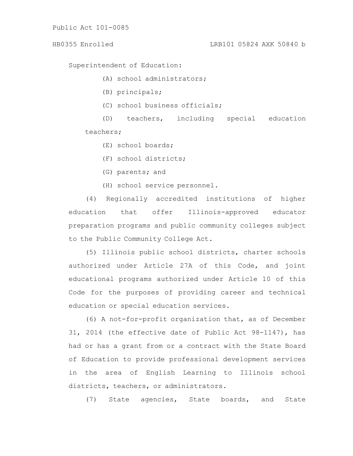## HB0355 Enrolled LRB101 05824 AXK 50840 b

Superintendent of Education:

(A) school administrators;

(B) principals;

(C) school business officials;

(D) teachers, including special education teachers;

(E) school boards;

(F) school districts;

(G) parents; and

(H) school service personnel.

(4) Regionally accredited institutions of higher education that offer Illinois-approved educator preparation programs and public community colleges subject to the Public Community College Act.

(5) Illinois public school districts, charter schools authorized under Article 27A of this Code, and joint educational programs authorized under Article 10 of this Code for the purposes of providing career and technical education or special education services.

(6) A not-for-profit organization that, as of December 31, 2014 (the effective date of Public Act 98-1147), has had or has a grant from or a contract with the State Board of Education to provide professional development services in the area of English Learning to Illinois school districts, teachers, or administrators.

(7) State agencies, State boards, and State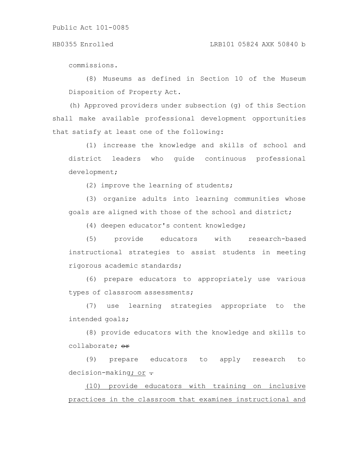commissions.

(8) Museums as defined in Section 10 of the Museum Disposition of Property Act.

(h) Approved providers under subsection (g) of this Section shall make available professional development opportunities that satisfy at least one of the following:

(1) increase the knowledge and skills of school and district leaders who guide continuous professional development;

(2) improve the learning of students;

(3) organize adults into learning communities whose goals are aligned with those of the school and district;

(4) deepen educator's content knowledge;

(5) provide educators with research-based instructional strategies to assist students in meeting rigorous academic standards;

(6) prepare educators to appropriately use various types of classroom assessments;

(7) use learning strategies appropriate to the intended goals;

(8) provide educators with the knowledge and skills to collaborate; or

(9) prepare educators to apply research to decision-making; or  $\div$ 

(10) provide educators with training on inclusive practices in the classroom that examines instructional and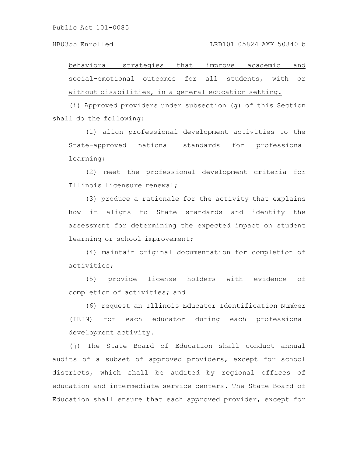behavioral strategies that improve academic and social-emotional outcomes for all students, with or without disabilities, in a general education setting.

(i) Approved providers under subsection (g) of this Section shall do the following:

(1) align professional development activities to the State-approved national standards for professional learning;

(2) meet the professional development criteria for Illinois licensure renewal;

(3) produce a rationale for the activity that explains how it aligns to State standards and identify the assessment for determining the expected impact on student learning or school improvement;

(4) maintain original documentation for completion of activities;

(5) provide license holders with evidence of completion of activities; and

(6) request an Illinois Educator Identification Number (IEIN) for each educator during each professional development activity.

(j) The State Board of Education shall conduct annual audits of a subset of approved providers, except for school districts, which shall be audited by regional offices of education and intermediate service centers. The State Board of Education shall ensure that each approved provider, except for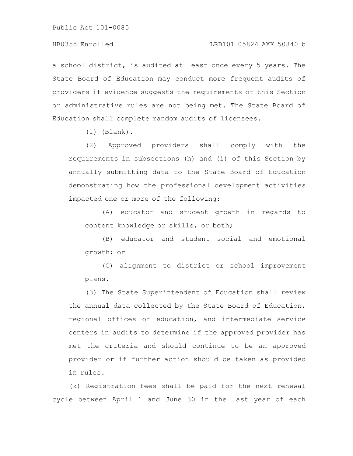## HB0355 Enrolled LRB101 05824 AXK 50840 b

a school district, is audited at least once every 5 years. The State Board of Education may conduct more frequent audits of providers if evidence suggests the requirements of this Section or administrative rules are not being met. The State Board of Education shall complete random audits of licensees.

(1) (Blank).

(2) Approved providers shall comply with the requirements in subsections (h) and (i) of this Section by annually submitting data to the State Board of Education demonstrating how the professional development activities impacted one or more of the following:

(A) educator and student growth in regards to content knowledge or skills, or both;

(B) educator and student social and emotional growth; or

(C) alignment to district or school improvement plans.

(3) The State Superintendent of Education shall review the annual data collected by the State Board of Education, regional offices of education, and intermediate service centers in audits to determine if the approved provider has met the criteria and should continue to be an approved provider or if further action should be taken as provided in rules.

(k) Registration fees shall be paid for the next renewal cycle between April 1 and June 30 in the last year of each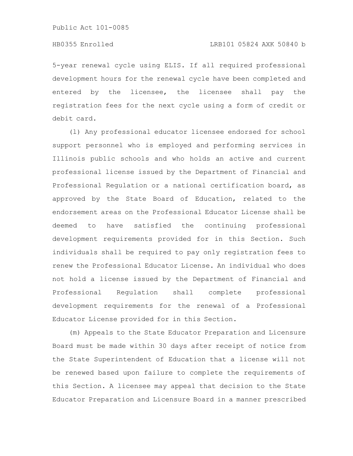5-year renewal cycle using ELIS. If all required professional development hours for the renewal cycle have been completed and entered by the licensee, the licensee shall pay the registration fees for the next cycle using a form of credit or debit card.

(l) Any professional educator licensee endorsed for school support personnel who is employed and performing services in Illinois public schools and who holds an active and current professional license issued by the Department of Financial and Professional Regulation or a national certification board, as approved by the State Board of Education, related to the endorsement areas on the Professional Educator License shall be deemed to have satisfied the continuing professional development requirements provided for in this Section. Such individuals shall be required to pay only registration fees to renew the Professional Educator License. An individual who does not hold a license issued by the Department of Financial and Professional Regulation shall complete professional development requirements for the renewal of a Professional Educator License provided for in this Section.

(m) Appeals to the State Educator Preparation and Licensure Board must be made within 30 days after receipt of notice from the State Superintendent of Education that a license will not be renewed based upon failure to complete the requirements of this Section. A licensee may appeal that decision to the State Educator Preparation and Licensure Board in a manner prescribed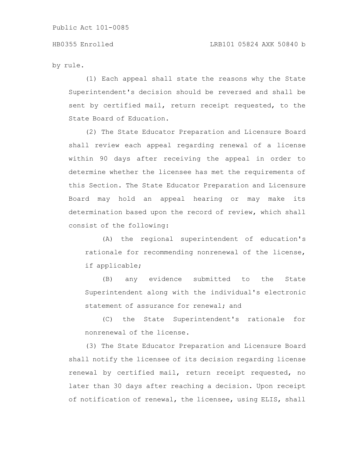by rule.

(1) Each appeal shall state the reasons why the State Superintendent's decision should be reversed and shall be sent by certified mail, return receipt requested, to the State Board of Education.

(2) The State Educator Preparation and Licensure Board shall review each appeal regarding renewal of a license within 90 days after receiving the appeal in order to determine whether the licensee has met the requirements of this Section. The State Educator Preparation and Licensure Board may hold an appeal hearing or may make its determination based upon the record of review, which shall consist of the following:

(A) the regional superintendent of education's rationale for recommending nonrenewal of the license, if applicable;

(B) any evidence submitted to the State Superintendent along with the individual's electronic statement of assurance for renewal; and

(C) the State Superintendent's rationale for nonrenewal of the license.

(3) The State Educator Preparation and Licensure Board shall notify the licensee of its decision regarding license renewal by certified mail, return receipt requested, no later than 30 days after reaching a decision. Upon receipt of notification of renewal, the licensee, using ELIS, shall